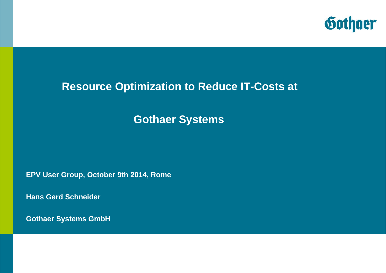

#### **Resource Optimization to Reduce IT-Costs at**

### **Gothaer Systems**

**EPV User Group, October 9th 2014, Rome**

**Hans Gerd Schneider** 

**Gothaer Systems GmbH**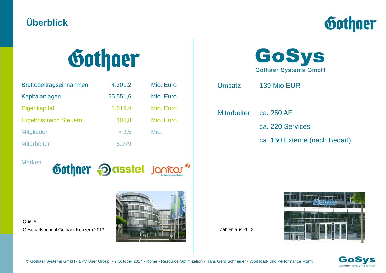### **Überblick**





| Bruttobeitragseinnahmen      | 4.301,2  | Mio. Euro |
|------------------------------|----------|-----------|
| Kapitalanlagen               | 25.551,6 | Mio. Euro |
| Eigenkapital                 | 1.519,4  | Mio. Euro |
| <b>Ergebnis nach Steuern</b> | 106,8    | Mio. Euro |
| <b>Mitglieder</b>            | > 3.5    | Mio.      |
| <b>Mitarbeiter</b>           | 5.979    |           |

Marken





Geschäftsbericht Gothaer Konzern 2013





Umsatz 139 Mio EUR

Mitarbeiter ca. 250 AE

ca. 220 Services

ca. 150 Externe (nach Bedarf)

Zahlen aus 2013



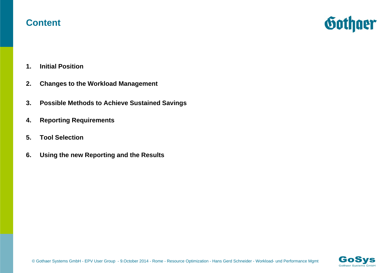#### **Content**



- **1. Initial Position**
- **2. Changes to the Workload Management**
- **3. Possible Methods to Achieve Sustained Savings**
- **4. Reporting Requirements**
- **5. Tool Selection**
- **6. Using the new Reporting and the Results**

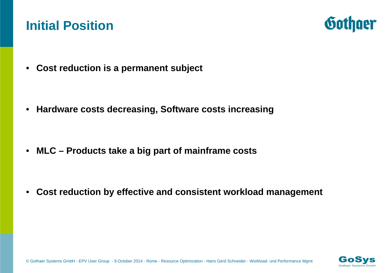# **Initial Position**



• **Cost reduction is a permanent subject**

• **Hardware costs decreasing, Software costs increasing**

• **MLC – Products take a big part of mainframe costs**

• **Cost reduction by effective and consistent workload management**

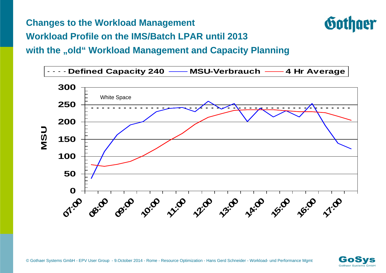**Changes to the Workload Management**



**Workload Profile on the IMS/Batch LPAR until 2013**

with the "old" Workload Management and Capacity Planning



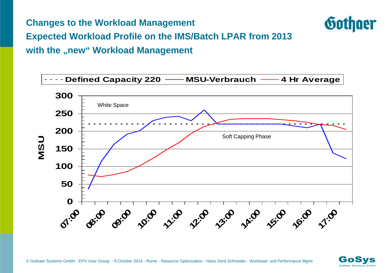**Changes to the Workload Management**



**Expected Workload Profile on the IMS/Batch LPAR from 2013** with the "new" Workload Management



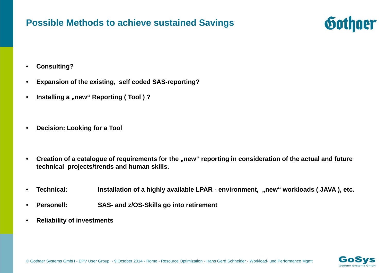#### **Possible Methods to achieve sustained Savings**



- $\bullet$ **Consulting?**
- •**Expansion of the existing, self coded SAS-reporting?**
- $\bullet$ **Installing a "new" Reporting (Tool)?**
- $\bullet$ **Decision: Looking for a Tool**
- $\bullet$ Creation of a catalogue of requirements for the "new" reporting in consideration of the actual and future **technical projects/trends and human skills.**
- $\bullet$ **Technical: Installation of a highly available LPAR - environment, "new" workloads ( JAVA ), etc.**
- •**Personell: SAS- and z/OS-Skills go into retirement**
- •**Reliability of investments**

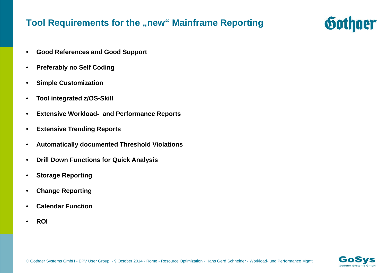#### **Tool Requirements for the "new" Mainframe Reporting**

- $\bullet$ **Good References and Good Support**
- $\bullet$ **Preferably no Self Coding**
- $\bullet$ **Simple Customization**
- $\bullet$ **Tool integrated z/OS-Skill**
- •**Extensive Workload- and Performance Reports**
- •**Extensive Trending Reports**
- •**Automatically documented Threshold Violations**
- •**Drill Down Functions for Quick Analysis**
- $\bullet$ **Storage Reporting**
- $\bullet$ **Change Reporting**
- $\bullet$ **Calendar Function**
- $\bullet$ **ROI**



Gothger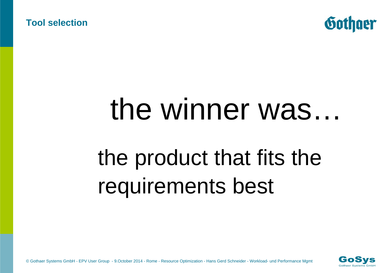**Tool selection** 



# the winner was… the product that fits the requirements best

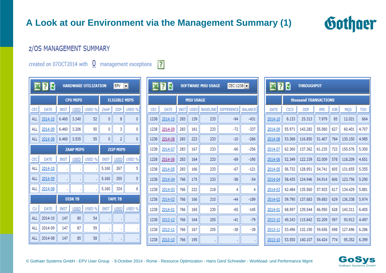#### **A Look at our Environment via the Management Summary (1)**



#### **z/OS MANAGEMENT SUMMARY**

created on 070CT2014 with  $\overline{0}$  management exceptions ?

| $X$ $2$ $6$<br><b>HARDWARE UTILIZATION</b><br><b>EPV</b><br>$\overline{\phantom{a}}$ |             |                 |                |                  |                      |                |        |  |
|--------------------------------------------------------------------------------------|-------------|-----------------|----------------|------------------|----------------------|----------------|--------|--|
|                                                                                      |             | <b>CPU MIPS</b> |                |                  | <b>ELIGIBLE MIPS</b> |                |        |  |
| CEC                                                                                  | <b>DATE</b> | <b>INST</b>     | <b>USED</b>    | USED %           | ZAAP                 | ZIIP           | USED % |  |
| <b>ALL</b>                                                                           | 2014-10     | 6,460           | 3.340          | 52               | $\overline{0}$       | 8              | 0      |  |
| <b>ALL</b>                                                                           | 2014-09     | 6.460           | 3.206          | 50               | 0                    | 3              | 0      |  |
| <b>ALL</b>                                                                           | 2014-08     | 6.460           | 3,535          | 55               | 0                    | $\overline{2}$ | Ō      |  |
| <b>ZAAP MIPS</b>                                                                     |             |                 |                | <b>ZIIP MIPS</b> |                      |                |        |  |
| CEC                                                                                  | <b>DATE</b> | <b>INST</b>     | <b>USED</b>    | USED %           | <b>INST</b>          | <b>USED</b>    | USED % |  |
| <b>ALL</b>                                                                           | 2014-10     | ï               | ï              |                  | 5.160                | 267            | 5      |  |
| <b>ALL</b>                                                                           | 2014-09     | ä               | ä              |                  | 5.160                | 255            | 5      |  |
| <b>ALL</b>                                                                           | 2014-08     | ı               |                |                  | 5.160                | 324            | 6      |  |
|                                                                                      |             |                 | <b>DISK TB</b> |                  |                      | <b>TAPE TB</b> |        |  |
| CU                                                                                   | <b>DATE</b> | <b>INST</b>     | <b>USED</b>    | USED %           | <b>INST</b>          | <b>USED</b>    | USED % |  |
| <b>ALL</b>                                                                           | 2014-10     | 147             | 80             | 54               |                      | ٠              | ï      |  |
| <b>ALL</b>                                                                           | 2014-09     | 147             | 87             | 59               | a,                   | ï              | ï      |  |
| ALL                                                                                  | 2014-08     | 147             | 85             | 58               |                      |                |        |  |

| $X$ $2$ $3$<br>$CEC:1238$ $\rightarrow$<br><b>SOFTWARE MSU USAGE</b> |             |             |             |                 |                   |                |  |  |
|----------------------------------------------------------------------|-------------|-------------|-------------|-----------------|-------------------|----------------|--|--|
| <b>MSU USAGE</b>                                                     |             |             |             |                 |                   |                |  |  |
| CEC                                                                  | <b>DATE</b> | <b>INST</b> | <b>USED</b> | <b>BASELINE</b> | <b>DIFFERENCE</b> | <b>BALANCE</b> |  |  |
| 1238                                                                 | 2014-10     | 283         | 139         | 233             | $-94$             | $-431$         |  |  |
| 1238                                                                 | 2014-09     | 283         | 161         | 233             | $-72$             | $-337$         |  |  |
| 1238                                                                 | 2014-08     | 283         | 223         | 233             | $-10$             | $-266$         |  |  |
| 1238                                                                 | 2014-07     | 283         | 167         | 233             | $-66$             | $-256$         |  |  |
| 1238                                                                 | 2014-06     | 283         | 164         | 233             | $-69$             | $-190$         |  |  |
| 1238                                                                 | 2014-05     | 283         | 166         | 233             | $-67$             | -121           |  |  |
| 1238                                                                 | 2014-04     | 766         | 175         | 233             | $-58$             | $-54$          |  |  |
| 1238                                                                 | 2014-03     | 766         | 222         | 218             | 4                 | 4              |  |  |
| 1238                                                                 | 2014-02     | 766         | 166         | 210             | $-44$             | $-189$         |  |  |
| 1238                                                                 | 2014-01     | 766         | 165         | 230             | $-65$             | $-145$         |  |  |
| 1238                                                                 | 2013-12     | 766         | 164         | 205             | $-41$             | $-79$          |  |  |
| 1238                                                                 | 2013-11     | 766         | 167         | 205             | $-38$             | $-38$          |  |  |
| 1238                                                                 | 2013-10     | 766         | 195         |                 |                   |                |  |  |

| $\mathbb{Z}$ ? $\mathbb{Z}$<br><b>THROUGHPUT</b> |             |            |            |            |         |            |  |  |  |  |
|--------------------------------------------------|-------------|------------|------------|------------|---------|------------|--|--|--|--|
| thousand TRANSACTIONS                            |             |            |            |            |         |            |  |  |  |  |
| <b>DATE</b>                                      | <b>CICS</b> | <b>DDF</b> | <b>IMS</b> | <b>JOB</b> | MQS     | <b>TSO</b> |  |  |  |  |
| 2014-10                                          | 8.133       | 25.313     | 7.979      | 85         | 12.021  | 664        |  |  |  |  |
| 2014-09                                          | 55.971      | 143.282    | 55.560     | 627        | 60,401  | 4.707      |  |  |  |  |
| 2014-08                                          | 53,368      | 116,850    | 51.407     | 784        | 130.150 | 4.985      |  |  |  |  |
| 2014-07                                          | 62.360      | 137,362    | 61.235     | 723        | 150.576 | 5.300      |  |  |  |  |
| 2014-06                                          | 52.349      | 122.339    | 52.009     | 578        | 118,209 | 4.651      |  |  |  |  |
| 2014-05                                          | 56.732      | 128.951    | 54.741     | 605        | 131.655 | 5.355      |  |  |  |  |
| 2014-04                                          | 58.435      | 124.946    | 54.914     | 606        | 123,756 | 5.290      |  |  |  |  |
| 2014-03                                          | 62.484      | 135.560    | 57.925     | 617        | 134.429 | 5.881      |  |  |  |  |
| 2014-02                                          | 59.790      | 137.683    | 59.683     | 629        | 136.338 | 5.974      |  |  |  |  |
| 2014-01                                          | 68.597      | 139.544    | 66.950     | 628        | 143.311 | 6.405      |  |  |  |  |
| 2013-12                                          | 49.243      | 115,842    | 52,209     | 597        | 93,912  | 4.497      |  |  |  |  |
| 2013-11                                          | 53.496      | 132.190    | 59.656     | 698        | 127.696 | 6.286      |  |  |  |  |
| 2013-10                                          | 53.550      | 140.107    | 54.424     | 774        | 95.352  | 6.399      |  |  |  |  |

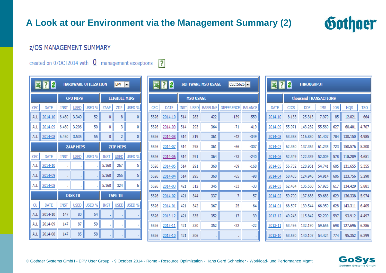#### **A Look at our Environment via the Management Summary (2)**



#### **z/OS MANAGEMENT SUMMARY**

created on 070CT2014 with  $\overline{0}$  management exceptions ?

| $\boxtimes$ $\boxtimes$ $\boxtimes$<br>$EPV$ $\rightarrow$<br><b>HARDWARE UTILIZATION</b> |             |                 |                |                      |                  |                |        |  |
|-------------------------------------------------------------------------------------------|-------------|-----------------|----------------|----------------------|------------------|----------------|--------|--|
|                                                                                           |             | <b>CPU MIPS</b> |                | <b>ELIGIBLE MIPS</b> |                  |                |        |  |
| CEC                                                                                       | <b>DATE</b> | <b>INST</b>     | <b>USED</b>    | USED %               | ZAAP             | ZIIP           | USED % |  |
| ALL                                                                                       | 2014-10     | 6.460           | 3.340          | 52                   | 0                | 8              | 0      |  |
| <b>ALL</b>                                                                                | 2014-09     | 6.460           | 3.206          | 50                   | 0                | 3              | 0      |  |
| <b>ALL</b>                                                                                | 2014-08     | 6.460           | 3.535          | 55                   | 0                | $\overline{2}$ | 0      |  |
| <b>ZAAP MIPS</b>                                                                          |             |                 |                |                      | <b>ZIIP MIPS</b> |                |        |  |
| CEC                                                                                       | DATE        | <b>INST</b>     | <b>USED</b>    | USED %               | <b>INST</b>      | <b>USED</b>    | USED % |  |
| <b>ALL</b>                                                                                | 2014-10     | ı.              | ï              |                      | 5.160            | 267            | 5      |  |
| <b>ALL</b>                                                                                | 2014-09     | ä,              |                |                      | 5.160            | 255            | 5      |  |
| <b>ALL</b>                                                                                | 2014-08     | ı               |                | ä                    | 5.160            | 324            | 6      |  |
|                                                                                           |             |                 | <b>DISK TB</b> |                      |                  | <b>TAPE TB</b> |        |  |
| CU                                                                                        | <b>DATE</b> | <b>INST</b>     | <b>USED</b>    | USED %               | <b>INST</b>      | <b>USED</b>    | USED % |  |
| ALL                                                                                       | 2014-10     | 147             | 80             | 54                   | ×,               | ä,             |        |  |
| <b>ALL</b>                                                                                | 2014-09     | 147             | 87             | 59                   | à.               | Î,             | ï      |  |
| ALL                                                                                       | 2014-08     | 147             | 85             | 58                   |                  |                |        |  |

| $\mathbb{Z}$ ? $\mathcal{C}$<br><b>SOFTWARE MSU USAGE</b><br>$CEC:5626$ $\rightarrow$ |             |             |             |                 |                   |                |  |  |  |
|---------------------------------------------------------------------------------------|-------------|-------------|-------------|-----------------|-------------------|----------------|--|--|--|
| <b>MSU USAGE</b>                                                                      |             |             |             |                 |                   |                |  |  |  |
| CEC                                                                                   | <b>DATE</b> | <b>INST</b> | <b>USED</b> | <b>BASELINE</b> | <b>DIFFERENCE</b> | <b>BALANCE</b> |  |  |  |
| 5626                                                                                  | 2014-10     | 514         | 283         | 422             | $-139$            | $-559$         |  |  |  |
| 5626                                                                                  | 2014-09     | 514         | 293         | 364             | $-71$             | $-419$         |  |  |  |
| 5626                                                                                  | 2014-08     | 514         | 319         | 361             | $-42$             | $-349$         |  |  |  |
| 5626                                                                                  | 2014-07     | 514         | 295         | 361             | $-66$             | $-307$         |  |  |  |
| 5626                                                                                  | 2014-06     | 514         | 291         | 364             | $-73$             | $-240$         |  |  |  |
| 5626                                                                                  | 2014-05     | 514         | 291         | 360             | $-69$             | $-168$         |  |  |  |
| 5626                                                                                  | 2014-04     | 514         | 295         | 360             | $-65$             | -98            |  |  |  |
| 5626                                                                                  | 2014-03     | 421         | 312         | 345             | $-33$             | $-33$          |  |  |  |
| 5626                                                                                  | 2014-02     | 421         | 344         | 337             | 7                 | $-57$          |  |  |  |
| 5626                                                                                  | 2014-01     | 421         | 342         | 367             | $-25$             | $-64$          |  |  |  |
| 5626                                                                                  | 2013-12     | 421         | 335         | 352             | $-17$             | $-39$          |  |  |  |
| 5626                                                                                  | 2013-11     | 421         | 330         | 352             | -22               | $-22$          |  |  |  |
| 5626                                                                                  | 2013-10     | 421         | 306         |                 |                   |                |  |  |  |

| $\mathbb{Z}$ 2 $\mathcal{C}$<br><b>THROUGHPUT</b> |             |            |            |            |         |            |  |  |  |  |
|---------------------------------------------------|-------------|------------|------------|------------|---------|------------|--|--|--|--|
| thousand TRANSACTIONS                             |             |            |            |            |         |            |  |  |  |  |
| <b>DATE</b>                                       | <b>CICS</b> | <b>DDF</b> | <b>IMS</b> | <b>JOB</b> | MQS     | <b>TSO</b> |  |  |  |  |
| 2014-10                                           | 8.133       | 25.313     | 7.979      | 85         | 12.021  | 664        |  |  |  |  |
| 2014-09                                           | 55.971      | 143.282    | 55.560     | 627        | 60,401  | 4.707      |  |  |  |  |
| 2014-08                                           | 53.368      | 116.850    | 51.407     | 784        | 130.150 | 4.985      |  |  |  |  |
| 2014-07                                           | 62.360      | 137.362    | 61.235     | 723        | 150.576 | 5.300      |  |  |  |  |
| 2014-06                                           | 52.349      | 122,339    | 52,009     | 578        | 118,209 | 4.651      |  |  |  |  |
| 2014-05                                           | 56.732      | 128.951    | 54.741     | 605        | 131.655 | 5.355      |  |  |  |  |
| 2014-04                                           | 58.435      | 124,946    | 54.914     | 606        | 123,756 | 5.290      |  |  |  |  |
| 2014-03                                           | 62.484      | 135.560    | 57.925     | 617        | 134.429 | 5.881      |  |  |  |  |
| 2014-02                                           | 59.790      | 137.683    | 59.683     | 629        | 136.338 | 5.974      |  |  |  |  |
| 2014-01                                           | 68.597      | 139.544    | 66,950     | 628        | 143.311 | 6.405      |  |  |  |  |
| 2013-12                                           | 49.243      | 115.842    | 52.209     | 597        | 93.912  | 4.497      |  |  |  |  |
| 2013-11                                           | 53.496      | 132.190    | 59.656     | 698        | 127,696 | 6.286      |  |  |  |  |
| 2013-10                                           | 53.550      | 140.107    | 54.424     | 774        | 95.352  | 6.399      |  |  |  |  |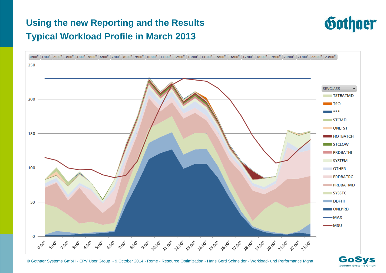## **Using the new Reporting and the Results Typical Workload Profile in March 2013**





GoSvs Gothaer Systems GmbH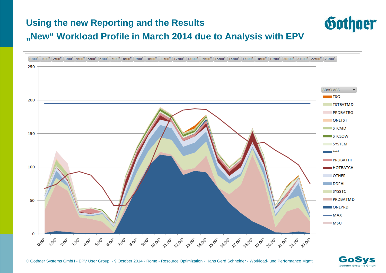# **Using the new Reporting and the Results "New" Workload Profile in March 2014 due to Analysis with EPV**





Gothger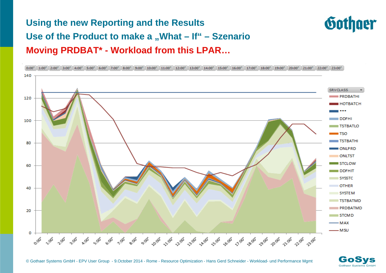# **Using the new Reporting and the Results Use of the Product to make a "What – If" – Szenario Moving PRDBAT\* - Workload from this LPAR…**





Gothger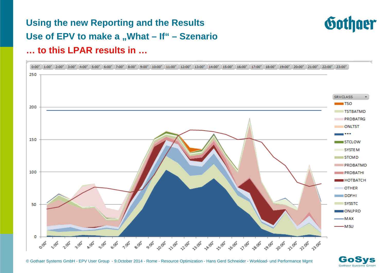## **Using the new Reporting and the Results Use of EPV to make a "What – If" – Szenario … to this LPAR results in …**





**Gothaer Systems GmbH**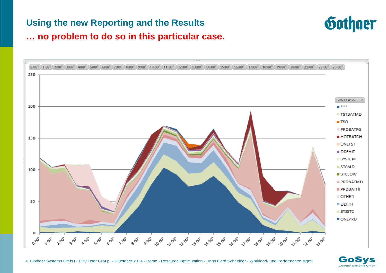#### **Using the new Reporting and the Results**



**… no problem to do so in this particular case.** 



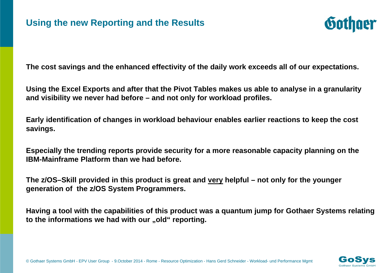

**The cost savings and the enhanced effectivity of the daily work exceeds all of our expectations.**

**Using the Excel Exports and after that the Pivot Tables makes us able to analyse in a granularity and visibility we never had before – and not only for workload profiles.** 

**Early identification of changes in workload behaviour enables earlier reactions to keep the cost savings.** 

**Especially the trending reports provide security for a more reasonable capacity planning on the IBM-Mainframe Platform than we had before.** 

**The z/OS–Skill provided in this product is great and very helpful – not only for the younger generation of the z/OS System Programmers.** 

**Having a tool with the capabilities of this product was a quantum jump for Gothaer Systems relating**  to the informations we had with our "old" reporting.